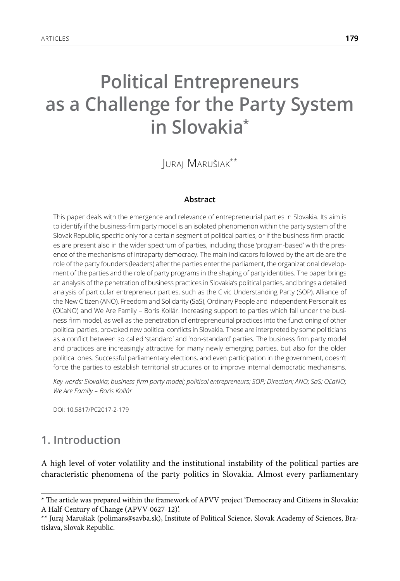# **Political Entrepreneurs as a Challenge for the Party System in Slovakia\***

Juraj Marušiak\*\*

#### **Abstract**

This paper deals with the emergence and relevance of entrepreneurial parties in Slovakia. Its aim is to identify if the business-firm party model is an isolated phenomenon within the party system of the Slovak Republic, specific only for a certain segment of political parties, or if the business-firm practices are present also in the wider spectrum of parties, including those 'program-based' with the presence of the mechanisms of intraparty democracy. The main indicators followed by the article are the role of the party founders (leaders) after the parties enter the parliament, the organizational development of the parties and the role of party programs in the shaping of party identities. The paper brings an analysis of the penetration of business practices in Slovakia's political parties, and brings a detailed analysis of particular entrepreneur parties, such as the Civic Understanding Party (SOP), Alliance of the New Citizen (ANO), Freedom and Solidarity (SaS), Ordinary People and Independent Personalities (OĽaNO) and We Are Family – Boris Kollár. Increasing support to parties which fall under the business-firm model, as well as the penetration of entrepreneurial practices into the functioning of other political parties, provoked new political conflicts in Slovakia. These are interpreted by some politicians as a conflict between so called 'standard' and 'non-standard' parties. The business firm party model and practices are increasingly attractive for many newly emerging parties, but also for the older political ones. Successful parliamentary elections, and even participation in the government, doesn't force the parties to establish territorial structures or to improve internal democratic mechanisms.

*Key words: Slovakia; business-firm party model; political entrepreneurs; SOP; Direction; ANO; SaS; OĽaNO; We Are Family – Boris Kollár* 

DOI: 10.5817/PC2017-2-179

## **1. Introduction**

A high level of voter volatility and the institutional instability of the political parties are characteristic phenomena of the party politics in Slovakia. Almost every parliamentary

<sup>\*</sup> The article was prepared within the framework of APVV project 'Democracy and Citizens in Slovakia: A Half-Century of Change (APVV-0627-12)'.

<sup>\*\*</sup> Juraj Marušiak (polimars@savba.sk), Institute of Political Science, Slovak Academy of Sciences, Bratislava, Slovak Republic.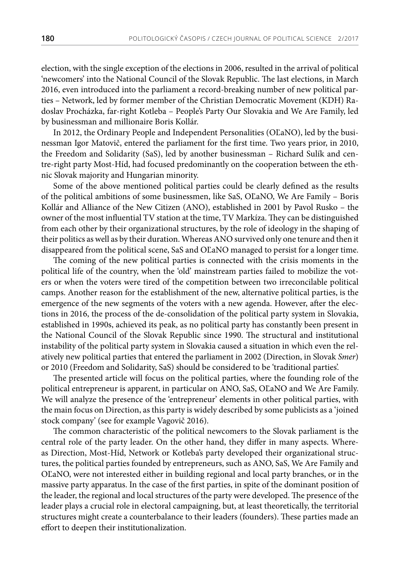election, with the single exception of the elections in 2006, resulted in the arrival of political 'newcomers' into the National Council of the Slovak Republic. The last elections, in March 2016, even introduced into the parliament a record-breaking number of new political parties – Network, led by former member of the Christian Democratic Movement (KDH) Radoslav Procházka, far-right Kotleba – People's Party Our Slovakia and We Are Family, led by businessman and millionaire Boris Kollár.

In 2012, the Ordinary People and Independent Personalities (OĽaNO), led by the businessman Igor Matovič, entered the parliament for the first time. Two years prior, in 2010, the Freedom and Solidarity (SaS), led by another businessman – Richard Sulík and centre-right party Most-Híd, had focused predominantly on the cooperation between the ethnic Slovak majority and Hungarian minority.

Some of the above mentioned political parties could be clearly defined as the results of the political ambitions of some businessmen, like SaS, OĽaNO, We Are Family – Boris Kollár and Alliance of the New Citizen (ANO), established in 2001 by Pavol Rusko – the owner of the most influential TV station at the time, TV Markíza. They can be distinguished from each other by their organizational structures, by the role of ideology in the shaping of their politics as well as by their duration. Whereas ANO survived only one tenure and then it disappeared from the political scene, SaS and OĽaNO managed to persist for a longer time.

The coming of the new political parties is connected with the crisis moments in the political life of the country, when the 'old' mainstream parties failed to mobilize the voters or when the voters were tired of the competition between two irreconcilable political camps. Another reason for the establishment of the new, alternative political parties, is the emergence of the new segments of the voters with a new agenda. However, after the elections in 2016, the process of the de-consolidation of the political party system in Slovakia, established in 1990s, achieved its peak, as no political party has constantly been present in the National Council of the Slovak Republic since 1990. The structural and institutional instability of the political party system in Slovakia caused a situation in which even the relatively new political parties that entered the parliament in 2002 (Direction, in Slovak *Smer*) or 2010 (Freedom and Solidarity, SaS) should be considered to be 'traditional parties'.

The presented article will focus on the political parties, where the founding role of the political entrepreneur is apparent, in particular on ANO, SaS, OĽaNO and We Are Family. We will analyze the presence of the 'entrepreneur' elements in other political parties, with the main focus on Direction, as this party is widely described by some publicists as a 'joined stock company' (see for example Vagovič 2016).

The common characteristic of the political newcomers to the Slovak parliament is the central role of the party leader. On the other hand, they differ in many aspects. Whereas Direction, Most-Híd, Network or Kotleba's party developed their organizational structures, the political parties founded by entrepreneurs, such as ANO, SaS, We Are Family and OĽaNO, were not interested either in building regional and local party branches, or in the massive party apparatus. In the case of the first parties, in spite of the dominant position of the leader, the regional and local structures of the party were developed. The presence of the leader plays a crucial role in electoral campaigning, but, at least theoretically, the territorial structures might create a counterbalance to their leaders (founders). These parties made an effort to deepen their institutionalization.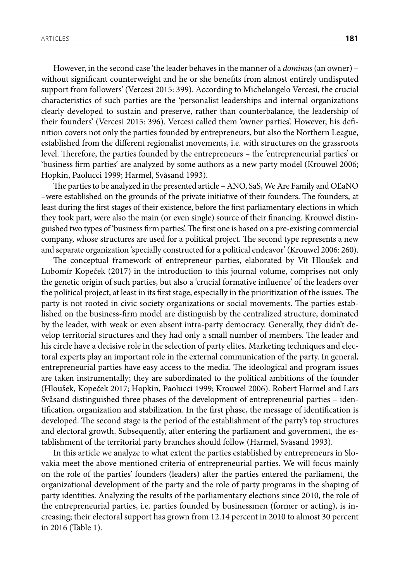However, in the second case 'the leader behaves in the manner of a *dominus* (an owner) – without significant counterweight and he or she benefits from almost entirely undisputed support from followers' (Vercesi 2015: 399). According to Michelangelo Vercesi, the crucial characteristics of such parties are the 'personalist leaderships and internal organizations clearly developed to sustain and preserve, rather than counterbalance, the leadership of their founders' (Vercesi 2015: 396). Vercesi called them 'owner parties'. However, his definition covers not only the parties founded by entrepreneurs, but also the Northern League, established from the different regionalist movements, i.e. with structures on the grassroots level. Therefore, the parties founded by the entrepreneurs – the 'entrepreneurial parties' or 'business firm parties' are analyzed by some authors as a new party model (Krouwel 2006; Hopkin, Paolucci 1999; Harmel, Svåsand 1993).

The parties to be analyzed in the presented article – ANO, SaS, We Are Family and OĽaNO –were established on the grounds of the private initiative of their founders. The founders, at least during the first stages of their existence, before the first parliamentary elections in which they took part, were also the main (or even single) source of their financing. Krouwel distinguished two types of 'business firm parties'. The first one is based on a pre-existing commercial company, whose structures are used for a political project. The second type represents a new and separate organization 'specially constructed for a political endeavor' (Krouwel 2006: 260).

The conceptual framework of entrepreneur parties, elaborated by Vít Hloušek and Lubomír Kopeček (2017) in the introduction to this journal volume, comprises not only the genetic origin of such parties, but also a 'crucial formative influence' of the leaders over the political project, at least in its first stage, especially in the prioritization of the issues. The party is not rooted in civic society organizations or social movements. The parties established on the business-firm model are distinguish by the centralized structure, dominated by the leader, with weak or even absent intra-party democracy. Generally, they didn't develop territorial structures and they had only a small number of members. The leader and his circle have a decisive role in the selection of party elites. Marketing techniques and electoral experts play an important role in the external communication of the party. In general, entrepreneurial parties have easy access to the media. The ideological and program issues are taken instrumentally; they are subordinated to the political ambitions of the founder (Hloušek, Kopeček 2017; Hopkin, Paolucci 1999; Krouwel 2006). [Robert Harmel a](http://www.tandfonline.com/author/Harmel%2C+Robert)nd [Lars](http://www.tandfonline.com/author/Sv%C3%A5sand%2C+Lars)  [Svåsand](http://www.tandfonline.com/author/Sv%C3%A5sand%2C+Lars) distinguished three phases of the development of entrepreneurial parties – identification, organization and stabilization. In the first phase, the message of identification is developed. The second stage is the period of the establishment of the party's top structures and electoral growth. Subsequently, after entering the parliament and government, the establishment of the territorial party branches should follow (Harmel, Svåsand 1993).

In this article we analyze to what extent the parties established by entrepreneurs in Slovakia meet the above mentioned criteria of entrepreneurial parties. We will focus mainly on the role of the parties' founders (leaders) after the parties entered the parliament, the organizational development of the party and the role of party programs in the shaping of party identities. Analyzing the results of the parliamentary elections since 2010, the role of the entrepreneurial parties, i.e. parties founded by businessmen (former or acting), is increasing; their electoral support has grown from 12.14 percent in 2010 to almost 30 percent in 2016 (Table 1).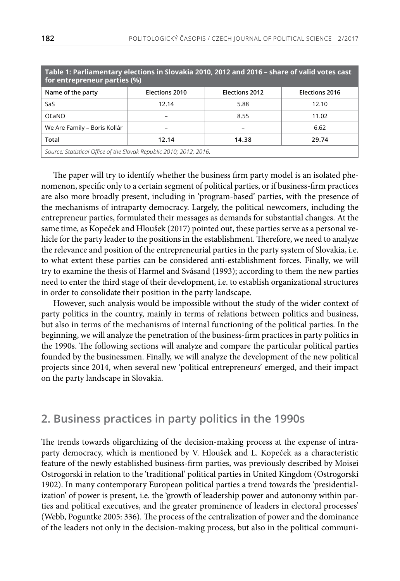| Table 1: Parliamentary elections in Slovakia 2010, 2012 and 2016 - share of valid votes cast<br>for entrepreneur parties (%) |                |                |                |  |  |  |  |  |
|------------------------------------------------------------------------------------------------------------------------------|----------------|----------------|----------------|--|--|--|--|--|
| Name of the party                                                                                                            | Elections 2010 | Elections 2012 | Elections 2016 |  |  |  |  |  |
| SaS                                                                                                                          | 12.14          | 5.88           | 12.10          |  |  |  |  |  |
| OĽaNO                                                                                                                        |                | 8.55           | 11.02          |  |  |  |  |  |
| We Are Family – Boris Kollár                                                                                                 |                |                | 6.62           |  |  |  |  |  |
| Total                                                                                                                        | 12.14          | 14.38          | 29.74          |  |  |  |  |  |
| Source: Statistical Office of the Slovak Republic 2010; 2012; 2016.                                                          |                |                |                |  |  |  |  |  |

The paper will try to identify whether the business firm party model is an isolated phenomenon, specific only to a certain segment of political parties, or if business-firm practices are also more broadly present, including in 'program-based' parties, with the presence of the mechanisms of intraparty democracy. Largely, the political newcomers, including the entrepreneur parties, formulated their messages as demands for substantial changes. At the same time, as Kopeček and Hloušek (2017) pointed out, these parties serve as a personal vehicle for the party leader to the positions in the establishment. Therefore, we need to analyze the relevance and position of the entrepreneurial parties in the party system of Slovakia, i.e. to what extent these parties can be considered anti-establishment forces. Finally, we will try to examine the thesis of Harmel and Svåsand (1993); according to them the new parties need to enter the third stage of their development, i.e. to establish organizational structures in order to consolidate their position in the party landscape.

However, such analysis would be impossible without the study of the wider context of party politics in the country, mainly in terms of relations between politics and business, but also in terms of the mechanisms of internal functioning of the political parties. In the beginning, we will analyze the penetration of the business-firm practices in party politics in the 1990s. The following sections will analyze and compare the particular political parties founded by the businessmen. Finally, we will analyze the development of the new political projects since 2014, when several new 'political entrepreneurs' emerged, and their impact on the party landscape in Slovakia.

#### **2. Business practices in party politics in the 1990s**

The trends towards oligarchizing of the decision-making process at the expense of intraparty democracy, which is mentioned by V. Hloušek and L. Kopeček as a characteristic feature of the newly established business-firm parties, was previously described by Moisei Ostrogorski in relation to the 'traditional' political parties in United Kingdom (Ostrogorski 1902). In many contemporary European political parties a trend towards the 'presidentialization' of power is present, i.e. the 'growth of leadership power and autonomy within parties and political executives, and the greater prominence of leaders in electoral processes' (Webb, Poguntke 2005: 336). The process of the centralization of power and the dominance of the leaders not only in the decision-making process, but also in the political communi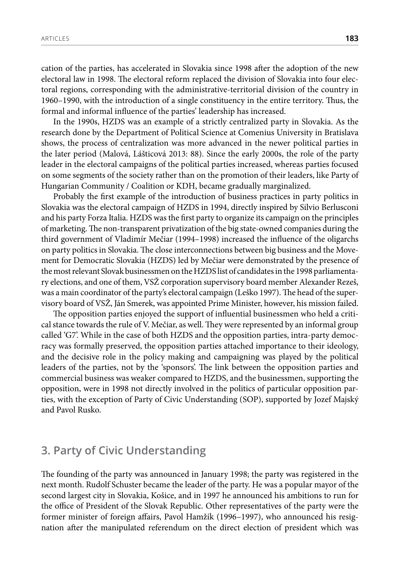cation of the parties, has accelerated in Slovakia since 1998 after the adoption of the new electoral law in 1998. The electoral reform replaced the division of Slovakia into four electoral regions, corresponding with the administrative-territorial division of the country in 1960–1990, with the introduction of a single constituency in the entire territory. Thus, the formal and informal influence of the parties' leadership has increased.

In the 1990s, HZDS was an example of a strictly centralized party in Slovakia. As the research done by the Department of Political Science at Comenius University in Bratislava shows, the process of centralization was more advanced in the newer political parties in the later period (Malová, Lášticová 2013: 88). Since the early 2000s, the role of the party leader in the electoral campaigns of the political parties increased, whereas parties focused on some segments of the society rather than on the promotion of their leaders, like Party of Hungarian Community / Coalition or KDH, became gradually marginalized.

Probably the first example of the introduction of business practices in party politics in Slovakia was the electoral campaign of HZDS in 1994, directly inspired by Silvio Berlusconi and his party Forza Italia. HZDS was the first party to organize its campaign on the principles of marketing. The non-transparent privatization of the big state-owned companies during the third government of Vladimír Mečiar (1994–1998) increased the influence of the oligarchs on party politics in Slovakia. The close interconnections between big business and the Movement for Democratic Slovakia (HZDS) led by Mečiar were demonstrated by the presence of the most relevant Slovak businessmen on the HZDS list of candidates in the 1998 parliamentary elections, and one of them, VSŽ corporation supervisory board member Alexander Rezeš, was a main coordinator of the party's electoral campaign (Leško 1997). The head of the supervisory board of VSŽ, Ján Smerek, was appointed Prime Minister, however, his mission failed.

The opposition parties enjoyed the support of influential businessmen who held a critical stance towards the rule of V. Mečiar, as well. They were represented by an informal group called 'G7'. While in the case of both HZDS and the opposition parties, intra-party democracy was formally preserved, the opposition parties attached importance to their ideology, and the decisive role in the policy making and campaigning was played by the political leaders of the parties, not by the 'sponsors'. The link between the opposition parties and commercial business was weaker compared to HZDS, and the businessmen, supporting the opposition, were in 1998 not directly involved in the politics of particular opposition parties, with the exception of Party of Civic Understanding (SOP), supported by Jozef Majský and Pavol Rusko.

#### **3. Party of Civic Understanding**

The founding of the party was announced in January 1998; the party was registered in the next month. Rudolf Schuster became the leader of the party. He was a popular mayor of the second largest city in Slovakia, Košice, and in 1997 he announced his ambitions to run for the office of President of the Slovak Republic. Other representatives of the party were the former minister of foreign affairs, Pavol Hamžík (1996–1997), who announced his resignation after the manipulated referendum on the direct election of president which was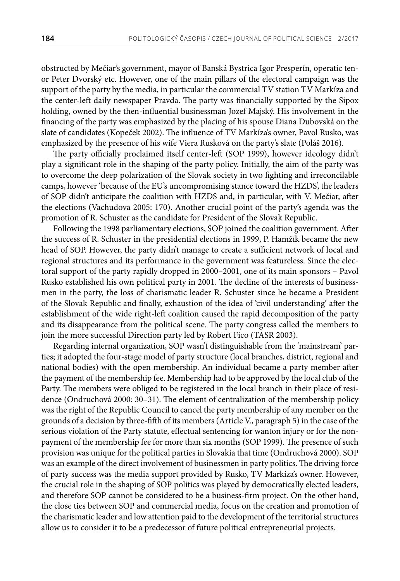obstructed by Mečiar's government, mayor of Banská Bystrica Igor Presperín, operatic tenor Peter Dvorský etc. However, one of the main pillars of the electoral campaign was the support of the party by the media, in particular the commercial TV station TV Markíza and the center-left daily newspaper Pravda. The party was financially supported by the Sipox holding, owned by the then-influential businessman Jozef Majský. His involvement in the financing of the party was emphasized by the placing of his spouse Diana Dubovská on the slate of candidates (Kopeček 2002). The influence of TV Markíza's owner, Pavol Rusko, was emphasized by the presence of his wife Viera Rusková on the party's slate (Poláš 2016).

The party officially proclaimed itself center-left (SOP 1999), however ideology didn't play a significant role in the shaping of the party policy. Initially, the aim of the party was to overcome the deep polarization of the Slovak society in two fighting and irreconcilable camps, however 'because of the EU's uncompromising stance toward the HZDS', the leaders of SOP didn't anticipate the coalition with HZDS and, in particular, with V. Mečiar, after the elections (Vachudova 2005: 170). Another crucial point of the party's agenda was the promotion of R. Schuster as the candidate for President of the Slovak Republic.

Following the 1998 parliamentary elections, SOP joined the coalition government. After the success of R. Schuster in the presidential elections in 1999, P. Hamžík became the new head of SOP. However, the party didn't manage to create a sufficient network of local and regional structures and its performance in the government was featureless. Since the electoral support of the party rapidly dropped in 2000–2001, one of its main sponsors – Pavol Rusko established his own political party in 2001. The decline of the interests of businessmen in the party, the loss of charismatic leader R. Schuster since he became a President of the Slovak Republic and finally, exhaustion of the idea of 'civil understanding' after the establishment of the wide right-left coalition caused the rapid decomposition of the party and its disappearance from the political scene. The party congress called the members to join the more successful Direction party led by Robert Fico (TASR 2003).

Regarding internal organization, SOP wasn't distinguishable from the 'mainstream' parties; it adopted the four-stage model of party structure (local branches, district, regional and national bodies) with the open membership. An individual became a party member after the payment of the membership fee. Membership had to be approved by the local club of the Party. The members were obliged to be registered in the local branch in their place of residence (Ondruchová 2000: 30–31). The element of centralization of the membership policy was the right of the Republic Council to cancel the party membership of any member on the grounds of a decision by three-fifth of its members (Article V., paragraph 5) in the case of the serious violation of the Party statute, effectual sentencing for wanton injury or for the nonpayment of the membership fee for more than six months (SOP 1999). The presence of such provision was unique for the political parties in Slovakia that time (Ondruchová 2000). SOP was an example of the direct involvement of businessmen in party politics. The driving force of party success was the media support provided by Rusko, TV Markíza's owner. However, the crucial role in the shaping of SOP politics was played by democratically elected leaders, and therefore SOP cannot be considered to be a business-firm project. On the other hand, the close ties between SOP and commercial media, focus on the creation and promotion of the charismatic leader and low attention paid to the development of the territorial structures allow us to consider it to be a predecessor of future political entrepreneurial projects.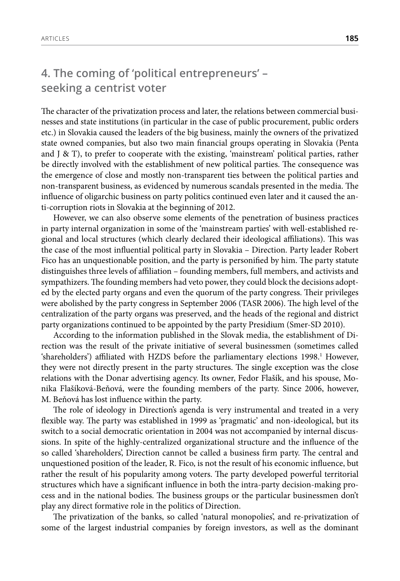# **4. The coming of 'political entrepreneurs' – seeking a centrist voter**

The character of the privatization process and later, the relations between commercial businesses and state institutions (in particular in the case of public procurement, public orders etc.) in Slovakia caused the leaders of the big business, mainly the owners of the privatized state owned companies, but also two main financial groups operating in Slovakia (Penta and J  $\&$  T), to prefer to cooperate with the existing, 'mainstream' political parties, rather be directly involved with the establishment of new political parties. The consequence was the emergence of close and mostly non-transparent ties between the political parties and non-transparent business, as evidenced by numerous scandals presented in the media. The influence of oligarchic business on party politics continued even later and it caused the anti-corruption riots in Slovakia at the beginning of 2012.

However, we can also observe some elements of the penetration of business practices in party internal organization in some of the 'mainstream parties' with well-established regional and local structures (which clearly declared their ideological affiliations). This was the case of the most influential political party in Slovakia – Direction. Party leader Robert Fico has an unquestionable position, and the party is personified by him. The party statute distinguishes three levels of affiliation – founding members, full members, and activists and sympathizers. The founding members had veto power, they could block the decisions adopted by the elected party organs and even the quorum of the party congress. Their privileges were abolished by the party congress in September 2006 (TASR 2006). The high level of the centralization of the party organs was preserved, and the heads of the regional and district party organizations continued to be appointed by the party Presidium (Smer-SD 2010).

According to the information published in the Slovak media, the establishment of Direction was the result of the private initiative of several businessmen (sometimes called 'shareholders') affiliated with HZDS before the parliamentary elections 1998.<sup>1</sup> However, they were not directly present in the party structures. The single exception was the close relations with the Donar advertising agency. Its owner, Fedor Flašík, and his spouse, Monika Flašíková-Beňová, were the founding members of the party. Since 2006, however, M. Beňová has lost influence within the party.

The role of ideology in Direction's agenda is very instrumental and treated in a very flexible way. The party was established in 1999 as 'pragmatic' and non-ideological, but its switch to a social democratic orientation in 2004 was not accompanied by internal discussions. In spite of the highly-centralized organizational structure and the influence of the so called 'shareholders', Direction cannot be called a business firm party. The central and unquestioned position of the leader, R. Fico, is not the result of his economic influence, but rather the result of his popularity among voters. The party developed powerful territorial structures which have a significant influence in both the intra-party decision-making process and in the national bodies. The business groups or the particular businessmen don't play any direct formative role in the politics of Direction.

The privatization of the banks, so called 'natural monopolies', and re-privatization of some of the largest industrial companies by foreign investors, as well as the dominant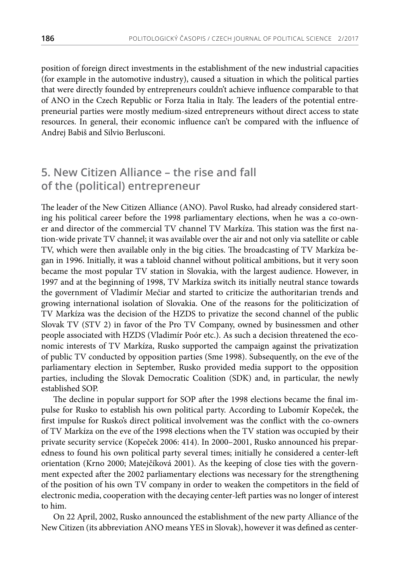position of foreign direct investments in the establishment of the new industrial capacities (for example in the automotive industry), caused a situation in which the political parties that were directly founded by entrepreneurs couldn't achieve influence comparable to that of ANO in the Czech Republic or Forza Italia in Italy. The leaders of the potential entrepreneurial parties were mostly medium-sized entrepreneurs without direct access to state resources. In general, their economic influence can't be compared with the influence of Andrej Babiš and Silvio Berlusconi.

# **5. New Citizen Alliance – the rise and fall of the (political) entrepreneur**

The leader of the New Citizen Alliance (ANO). Pavol Rusko, had already considered starting his political career before the 1998 parliamentary elections, when he was a co-owner and director of the commercial TV channel TV Markíza. This station was the first nation-wide private TV channel; it was available over the air and not only via satellite or cable TV, which were then available only in the big cities. The broadcasting of TV Markíza began in 1996. Initially, it was a tabloid channel without political ambitions, but it very soon became the most popular TV station in Slovakia, with the largest audience. However, in 1997 and at the beginning of 1998, TV Markíza switch its initially neutral stance towards the government of Vladimír Mečiar and started to criticize the authoritarian trends and growing international isolation of Slovakia. One of the reasons for the politicization of TV Markíza was the decision of the HZDS to privatize the second channel of the public Slovak TV (STV 2) in favor of the Pro TV Company, owned by businessmen and other people associated with HZDS (Vladimír Poór etc.). As such a decision threatened the economic interests of TV Markíza, Rusko supported the campaign against the privatization of public TV conducted by opposition parties (Sme 1998). Subsequently, on the eve of the parliamentary election in September, Rusko provided media support to the opposition parties, including the Slovak Democratic Coalition (SDK) and, in particular, the newly established SOP.

The decline in popular support for SOP after the 1998 elections became the final impulse for Rusko to establish his own political party. According to Lubomír Kopeček, the first impulse for Rusko's direct political involvement was the conflict with the co-owners of TV Markíza on the eve of the 1998 elections when the TV station was occupied by their private security service (Kopeček 2006: 414). In 2000–2001, Rusko announced his preparedness to found his own political party several times; initially he considered a center-left orientation (Krno 2000; Matejčíková 2001). As the keeping of close ties with the government expected after the 2002 parliamentary elections was necessary for the strengthening of the position of his own TV company in order to weaken the competitors in the field of electronic media, cooperation with the decaying center-left parties was no longer of interest to him.

On 22 April, 2002, Rusko announced the establishment of the new party Alliance of the New Citizen (its abbreviation ANO means YES in Slovak), however it was defined as center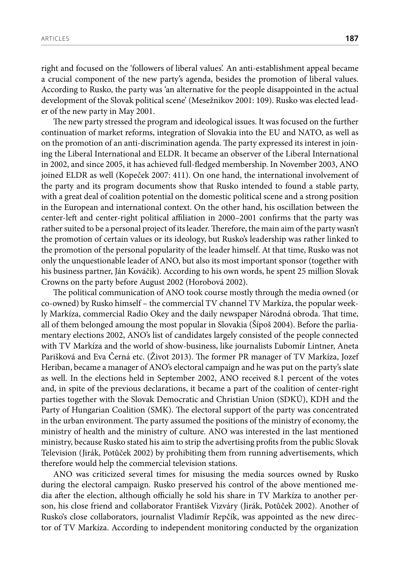right and focused on the 'followers of liberal values'. An anti-establishment appeal became a crucial component of the new party's agenda, besides the promotion of liberal values. According to Rusko, the party was 'an alternative for the people disappointed in the actual development of the Slovak political scene' (Mesežnikov 2001: 109). Rusko was elected leader of the new party in May 2001.

The new party stressed the program and ideological issues. It was focused on the further continuation of market reforms, integration of Slovakia into the EU and NATO, as well as on the promotion of an anti-discrimination agenda. The party expressed its interest in joining the Liberal International and ELDR. It became an observer of the Liberal International in 2002, and since 2005, it has achieved full-fledged membership. In November 2003, ANO joined ELDR as well (Kopeček 2007: 411). On one hand, the international involvement of the party and its program documents show that Rusko intended to found a stable party, with a great deal of coalition potential on the domestic political scene and a strong position in the European and international context. On the other hand, his oscillation between the center-left and center-right political affiliation in 2000–2001 confirms that the party was rather suited to be a personal project of its leader. Therefore, the main aim of the party wasn't the promotion of certain values or its ideology, but Rusko's leadership was rather linked to the promotion of the personal popularity of the leader himself. At that time, Rusko was not only the unquestionable leader of ANO, but also its most important sponsor (together with his business partner, Ján Kováčik). According to his own words, he spent 25 million Slovak Crowns on the party before August 2002 (Horobová 2002).

The political communication of ANO took course mostly through the media owned (or co-owned) by Rusko himself – the commercial TV channel TV Markíza, the popular weekly Markíza, commercial Radio Okey and the daily newspaper Národná obroda. That time, all of them belonged amoung the most popular in Slovakia (Šípoš 2004). Before the parliamentary elections 2002, ANO's list of candidates largely consisted of the people connected with TV Markíza and the world of show-business, like journalists Ľubomír Lintner, Aneta Parišková and Eva Černá etc. (Život 2013). The former PR manager of TV Markíza, Jozef Heriban, became a manager of ANO's electoral campaign and he was put on the party's slate as well. In the elections held in September 2002, ANO received 8.1 percent of the votes and, in spite of the previous declarations, it became a part of the coalition of center-right parties together with the Slovak Democratic and Christian Union (SDKÚ), KDH and the Party of Hungarian Coalition (SMK). The electoral support of the party was concentrated in the urban environment. The party assumed the positions of the ministry of economy, the ministry of health and the ministry of culture. ANO was interested in the last mentioned ministry, because Rusko stated his aim to strip the advertising profits from the public Slovak Television (Jirák, Potůček 2002) by prohibiting them from running advertisements, which therefore would help the commercial television stations.

ANO was criticized several times for misusing the media sources owned by Rusko during the electoral campaign. Rusko preserved his control of the above mentioned media after the election, although officially he sold his share in TV Markíza to another person, his close friend and collaborator František Vizváry (Jirák, Potůček 2002). Another of Rusko's close collaborators, journalist Vladimír Repčík, was appointed as the new director of TV Markíza. According to independent monitoring conducted by the organization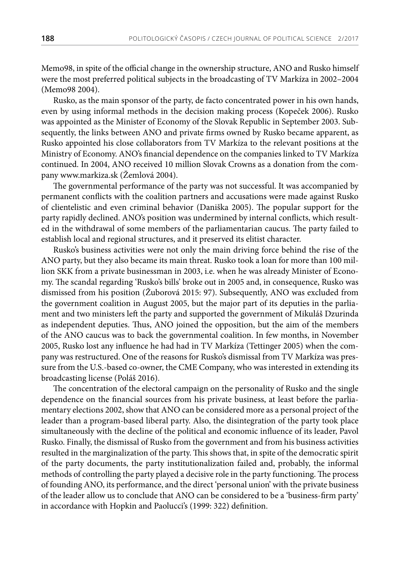Memo98, in spite of the official change in the ownership structure, ANO and Rusko himself were the most preferred political subjects in the broadcasting of TV Markíza in 2002–2004 (Memo98 2004).

Rusko, as the main sponsor of the party, de facto concentrated power in his own hands, even by using informal methods in the decision making process (Kopeček 2006). Rusko was appointed as the Minister of Economy of the Slovak Republic in September 2003. Subsequently, the links between ANO and private firms owned by Rusko became apparent, as Rusko appointed his close collaborators from TV Markíza to the relevant positions at the Ministry of Economy. ANO's financial dependence on the companies linked to TV Markíza continued. In 2004, ANO received 10 million Slovak Crowns as a donation from the company www.markiza.sk (Žemlová 2004).

The governmental performance of the party was not successful. It was accompanied by permanent conflicts with the coalition partners and accusations were made against Rusko of clientelistic and even criminal behavior (Daniška 2005). The popular support for the party rapidly declined. ANO's position was undermined by internal conflicts, which resulted in the withdrawal of some members of the parliamentarian caucus. The party failed to establish local and regional structures, and it preserved its elitist character.

Rusko's business activities were not only the main driving force behind the rise of the ANO party, but they also became its main threat. Rusko took a loan for more than 100 million SKK from a private businessman in 2003, i.e. when he was already Minister of Economy. The scandal regarding 'Rusko's bills' broke out in 2005 and, in consequence, Rusko was dismissed from his position (Žuborová 2015: 97). Subsequently, ANO was excluded from the government coalition in August 2005, but the major part of its deputies in the parliament and two ministers left the party and supported the government of Mikuláš Dzurinda as independent deputies. Thus, ANO joined the opposition, but the aim of the members of the ANO caucus was to back the governmental coalition. In few months, in November 2005, Rusko lost any influence he had had in TV Markíza (Tettinger 2005) when the company was restructured. One of the reasons for Rusko's dismissal from TV Markíza was pressure from the U.S.-based co-owner, the CME Company, who was interested in extending its broadcasting license (Poláš 2016).

The concentration of the electoral campaign on the personality of Rusko and the single dependence on the financial sources from his private business, at least before the parliamentary elections 2002, show that ANO can be considered more as a personal project of the leader than a program-based liberal party. Also, the disintegration of the party took place simultaneously with the decline of the political and economic influence of its leader, Pavol Rusko. Finally, the dismissal of Rusko from the government and from his business activities resulted in the marginalization of the party. This shows that, in spite of the democratic spirit of the party documents, the party institutionalization failed and, probably, the informal methods of controlling the party played a decisive role in the party functioning. The process of founding ANO, its performance, and the direct 'personal union' with the private business of the leader allow us to conclude that ANO can be considered to be a 'business-firm party' in accordance with Hopkin and Paolucci's (1999: 322) definition.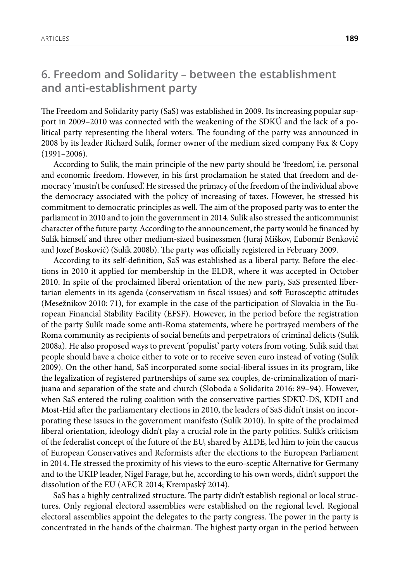# **6. Freedom and Solidarity – between the establishment and anti-establishment party**

The Freedom and Solidarity party (SaS) was established in 2009. Its increasing popular support in 2009–2010 was connected with the weakening of the SDKÚ and the lack of a political party representing the liberal voters. The founding of the party was announced in 2008 by its leader Richard Sulík, former owner of the medium sized company Fax & Copy (1991–2006).

According to Sulík, the main principle of the new party should be 'freedom', i.e. personal and economic freedom. However, in his first proclamation he stated that freedom and democracy 'mustn't be confused'. He stressed the primacy of the freedom of the individual above the democracy associated with the policy of increasing of taxes. However, he stressed his commitment to democratic principles as well. The aim of the proposed party was to enter the parliament in 2010 and to join the government in 2014. Sulík also stressed the anticommunist character of the future party. According to the announcement, the party would be financed by Sulík himself and three other medium-sized businessmen (Juraj Miškov, Ľubomír Benkovič and Jozef Boskovič) (Sulík 2008b). The party was officially registered in February 2009.

According to its self-definition, SaS was established as a liberal party. Before the elections in 2010 it applied for membership in the ELDR, where it was accepted in October 2010. In spite of the proclaimed liberal orientation of the new party, SaS presented libertarian elements in its agenda (conservatism in fiscal issues) and soft Eurosceptic attitudes (Mesežnikov 2010: 71), for example in the case of the participation of Slovakia in the European Financial Stability Facility (EFSF). However, in the period before the registration of the party Sulík made some anti-Roma statements, where he portrayed members of the Roma community as recipients of social benefits and perpetrators of criminal delicts (Sulík 2008a). He also proposed ways to prevent 'populist' party voters from voting. Sulík said that people should have a choice either to vote or to receive seven euro instead of voting (Sulík 2009). On the other hand, SaS incorporated some social-liberal issues in its program, like the legalization of registered partnerships of same sex couples, de-criminalization of marijuana and separation of the state and church (Sloboda a Solidarita 2016: 89–94). However, when SaS entered the ruling coalition with the conservative parties SDKÚ-DS, KDH and Most-Híd after the parliamentary elections in 2010, the leaders of SaS didn't insist on incorporating these issues in the government manifesto (Sulík 2010). In spite of the proclaimed liberal orientation, ideology didn't play a crucial role in the party politics. Sulík's criticism of the federalist concept of the future of the EU, shared by ALDE, led him to join the caucus of European Conservatives and Reformists after the elections to the European Parliament in 2014. He stressed the proximity of his views to the euro-sceptic Alternative for Germany and to the UKIP leader, Nigel Farage, but he, according to his own words, didn't support the dissolution of the EU (AECR 2014; Krempaský 2014).

SaS has a highly centralized structure. The party didn't establish regional or local structures. Only regional electoral assemblies were established on the regional level. Regional electoral assemblies appoint the delegates to the party congress. The power in the party is concentrated in the hands of the chairman. The highest party organ in the period between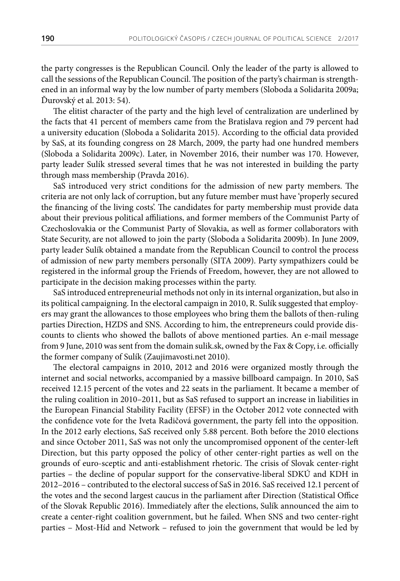the party congresses is the Republican Council. Only the leader of the party is allowed to call the sessions of the Republican Council. The position of the party's chairman is strengthened in an informal way by the low number of party members (Sloboda a Solidarita 2009a; Ďurovský et al. 2013: 54).

The elitist character of the party and the high level of centralization are underlined by the facts that 41 percent of members came from the Bratislava region and 79 percent had a university education (Sloboda a Solidarita 2015). According to the official data provided by SaS, at its founding congress on 28 March, 2009, the party had one hundred members (Sloboda a Solidarita 2009c). Later, in November 2016, their number was 170. However, party leader Sulík stressed several times that he was not interested in building the party through mass membership (Pravda 2016).

SaS introduced very strict conditions for the admission of new party members. The criteria are not only lack of corruption, but any future member must have 'properly secured the financing of the living costs'. The candidates for party membership must provide data about their previous political affiliations, and former members of the Communist Party of Czechoslovakia or the Communist Party of Slovakia, as well as former collaborators with State Security, are not allowed to join the party (Sloboda a Solidarita 2009b). In June 2009, party leader Sulík obtained a mandate from the Republican Council to control the process of admission of new party members personally (SITA 2009). Party sympathizers could be registered in the informal group the Friends of Freedom, however, they are not allowed to participate in the decision making processes within the party.

SaS introduced entrepreneurial methods not only in its internal organization, but also in its political campaigning. In the electoral campaign in 2010, R. Sulík suggested that employers may grant the allowances to those employees who bring them the ballots of then-ruling parties Direction, HZDS and SNS. According to him, the entrepreneurs could provide discounts to clients who showed the ballots of above mentioned parties. An e-mail message from 9 June, 2010 was sent from the domain sulik.sk, owned by the Fax & Copy, i.e. officially the former company of Sulík (Zaujimavosti.net 2010).

The electoral campaigns in 2010, 2012 and 2016 were organized mostly through the internet and social networks, accompanied by a massive billboard campaign. In 2010, SaS received 12.15 percent of the votes and 22 seats in the parliament. It became a member of the ruling coalition in 2010–2011, but as SaS refused to support an increase in liabilities in the European Financial Stability Facility (EFSF) in the October 2012 vote connected with the confidence vote for the Iveta Radičová government, the party fell into the opposition. In the 2012 early elections, SaS received only 5.88 percent. Both before the 2010 elections and since October 2011, SaS was not only the uncompromised opponent of the center-left Direction, but this party opposed the policy of other center-right parties as well on the grounds of euro-sceptic and anti-establishment rhetoric. The crisis of Slovak center-right parties – the decline of popular support for the conservative-liberal SDKÚ and KDH in 2012–2016 – contributed to the electoral success of SaS in 2016. SaS received 12.1 percent of the votes and the second largest caucus in the parliament after Direction (Statistical Office of the Slovak Republic 2016). Immediately after the elections, Sulík announced the aim to create a center-right coalition government, but he failed. When SNS and two center-right parties – Most-Híd and Network – refused to join the government that would be led by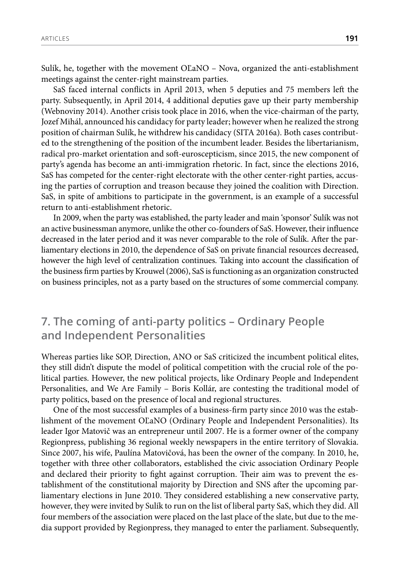Sulík, he, together with the movement OĽaNO – Nova, organized the anti-establishment meetings against the center-right mainstream parties.

SaS faced internal conflicts in April 2013, when 5 deputies and 75 members left the party. Subsequently, in April 2014, 4 additional deputies gave up their party membership (Webnoviny 2014). Another crisis took place in 2016, when the vice-chairman of the party, Jozef Mihál, announced his candidacy for party leader; however when he realized the strong position of chairman Sulík, he withdrew his candidacy (SITA 2016a). Both cases contributed to the strengthening of the position of the incumbent leader. Besides the libertarianism, radical pro-market orientation and soft-euroscepticism, since 2015, the new component of party's agenda has become an anti-immigration rhetoric. In fact, since the elections 2016, SaS has competed for the center-right electorate with the other center-right parties, accusing the parties of corruption and treason because they joined the coalition with Direction. SaS, in spite of ambitions to participate in the government, is an example of a successful return to anti-establishment rhetoric.

In 2009, when the party was established, the party leader and main 'sponsor' Sulík was not an active businessman anymore, unlike the other co-founders of SaS. However, their influence decreased in the later period and it was never comparable to the role of Sulík. After the parliamentary elections in 2010, the dependence of SaS on private financial resources decreased, however the high level of centralization continues. Taking into account the classification of the business firm parties by Krouwel (2006), SaS is functioning as an organization constructed on business principles, not as a party based on the structures of some commercial company.

#### **7. The coming of anti-party politics – Ordinary People and Independent Personalities**

Whereas parties like SOP, Direction, ANO or SaS criticized the incumbent political elites, they still didn't dispute the model of political competition with the crucial role of the political parties. However, the new political projects, like Ordinary People and Independent Personalities, and We Are Family – Boris Kollár, are contesting the traditional model of party politics, based on the presence of local and regional structures.

One of the most successful examples of a business-firm party since 2010 was the establishment of the movement OĽaNO (Ordinary People and Independent Personalities). Its leader Igor Matovič was an entrepreneur until 2007. He is a former owner of the company Regionpress, publishing 36 regional weekly newspapers in the entire territory of Slovakia. Since 2007, his wife, Paulína Matovičová, has been the owner of the company. In 2010, he, together with three other collaborators, established the civic association Ordinary People and declared their priority to fight against corruption. Their aim was to prevent the establishment of the constitutional majority by Direction and SNS after the upcoming parliamentary elections in June 2010. They considered establishing a new conservative party, however, they were invited by Sulík to run on the list of liberal party SaS, which they did. All four members of the association were placed on the last place of the slate, but due to the media support provided by Regionpress, they managed to enter the parliament. Subsequently,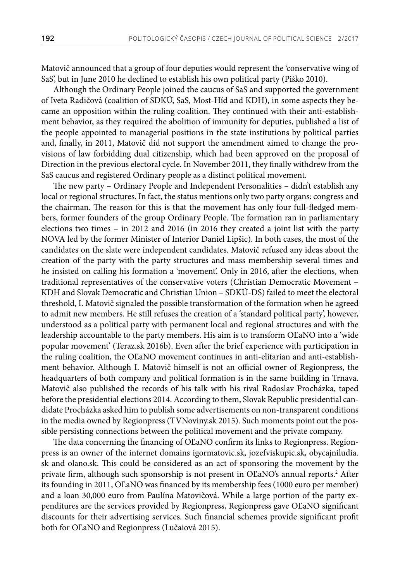Matovič announced that a group of four deputies would represent the 'conservative wing of SaS', but in June 2010 he declined to establish his own political party (Piško 2010).

Although the Ordinary People joined the caucus of SaS and supported the government of Iveta Radičová (coalition of SDKÚ, SaS, Most-Híd and KDH), in some aspects they became an opposition within the ruling coalition. They continued with their anti-establishment behavior, as they required the abolition of immunity for deputies, published a list of the people appointed to managerial positions in the state institutions by political parties and, finally, in 2011, Matovič did not support the amendment aimed to change the provisions of law forbidding dual citizenship, which had been approved on the proposal of Direction in the previous electoral cycle. In November 2011, they finally withdrew from the SaS caucus and registered Ordinary people as a distinct political movement.

The new party – Ordinary People and Independent Personalities – didn't establish any local or regional structures. In fact, the status mentions only two party organs: congress and the chairman. The reason for this is that the movement has only four full-fledged members, former founders of the group Ordinary People. The formation ran in parliamentary elections two times – in 2012 and 2016 (in 2016 they created a joint list with the party NOVA led by the former Minister of Interior Daniel Lipšic). In both cases, the most of the candidates on the slate were independent candidates. Matovič refused any ideas about the creation of the party with the party structures and mass membership several times and he insisted on calling his formation a 'movement'. Only in 2016, after the elections, when traditional representatives of the conservative voters (Christian Democratic Movement – KDH and Slovak Democratic and Christian Union – SDKÚ-DS) failed to meet the electoral threshold, I. Matovič signaled the possible transformation of the formation when he agreed to admit new members. He still refuses the creation of a 'standard political party', however, understood as a political party with permanent local and regional structures and with the leadership accountable to the party members. His aim is to transform OĽaNO into a 'wide popular movement' (Teraz.sk 2016b). Even after the brief experience with participation in the ruling coalition, the OĽaNO movement continues in anti-elitarian and anti-establishment behavior. Although I. Matovič himself is not an official owner of Regionpress, the headquarters of both company and political formation is in the same building in Trnava. Matovič also published the records of his talk with his rival Radoslav Procházka, taped before the presidential elections 2014. According to them, Slovak Republic presidential candidate Procházka asked him to publish some advertisements on non-transparent conditions in the media owned by Regionpress (TVNoviny.sk 2015). Such moments point out the possible persisting connections between the political movement and the private company.

The data concerning the financing of OĽaNO confirm its links to Regionpress. Regionpress is an owner of the internet domains igormatovic.sk, jozefviskupic.sk, obycajniludia. sk and olano.sk. This could be considered as an act of sponsoring the movement by the private firm, although such sponsorship is not present in OĽaNO's annual reports.<sup>2</sup> After its founding in 2011, OĽaNO was financed by its membership fees (1000 euro per member) and a loan 30,000 euro from Paulína Matovičová. While a large portion of the party expenditures are the services provided by Regionpress, Regionpress gave OĽaNO significant discounts for their advertising services. Such financial schemes provide significant profit both for OĽaNO and Regionpress (Lučaiová 2015).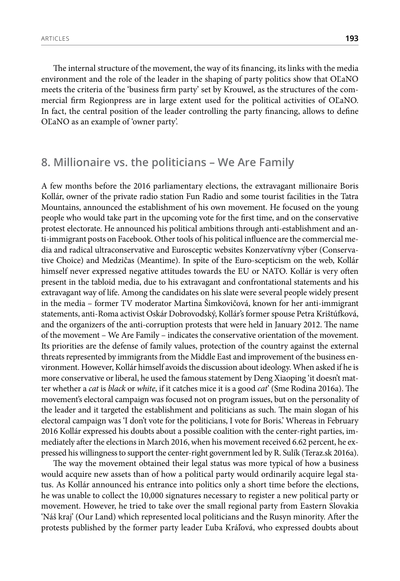ARTICLES **193**

The internal structure of the movement, the way of its financing, its links with the media environment and the role of the leader in the shaping of party politics show that OĽaNO meets the criteria of the 'business firm party' set by Krouwel, as the structures of the commercial firm Regionpress are in large extent used for the political activities of OĽaNO. In fact, the central position of the leader controlling the party financing, allows to define OĽaNO as an example of 'owner party'.

#### **8. Millionaire vs. the politicians – We Are Family**

A few months before the 2016 parliamentary elections, the extravagant millionaire Boris Kollár, owner of the private radio station Fun Radio and some tourist facilities in the Tatra Mountains, announced the establishment of his own movement. He focused on the young people who would take part in the upcoming vote for the first time, and on the conservative protest electorate. He announced his political ambitions through anti-establishment and anti-immigrant posts on Facebook. Other tools of his political influence are the commercial media and radical ultraconservative and Eurosceptic websites Konzervatívny výber (Conservative Choice) and Medzičas (Meantime). In spite of the Euro-scepticism on the web, Kollár himself never expressed negative attitudes towards the EU or NATO. Kollár is very often present in the tabloid media, due to his extravagant and confrontational statements and his extravagant way of life. Among the candidates on his slate were several people widely present in the media – former TV moderator Martina Šimkovičová, known for her anti-immigrant statements, anti-Roma activist Oskár Dobrovodský, Kollár's former spouse Petra Krištúfková, and the organizers of the anti-corruption protests that were held in January 2012. The name of the movement – We Are Family – indicates the conservative orientation of the movement. Its priorities are the defense of family values, protection of the country against the external threats represented by immigrants from the Middle East and improvement of the business environment. However, Kollár himself avoids the discussion about ideology. When asked if he is more conservative or liberal, he used the famous statement by Deng Xiaoping 'it doesn't matter whether a *cat* is *black* or *white*, if it catches mice it is a good *cat*' (Sme Rodina 2016a). The movement's electoral campaign was focused not on program issues, but on the personality of the leader and it targeted the establishment and politicians as such. The main slogan of his electoral campaign was 'I don't vote for the politicians, I vote for Boris.' Whereas in February 2016 Kollár expressed his doubts about a possible coalition with the center-right parties, immediately after the elections in March 2016, when his movement received 6.62 percent, he expressed his willingness to support the center-right government led by R. Sulík (Teraz.sk 2016a).

The way the movement obtained their legal status was more typical of how a business would acquire new assets than of how a political party would ordinarily acquire legal status. As Kollár announced his entrance into politics only a short time before the elections, he was unable to collect the 10,000 signatures necessary to register a new political party or movement. However, he tried to take over the small regional party from Eastern Slovakia 'Náš kraj' (Our Land) which represented local politicians and the Rusyn minority. After the protests published by the former party leader Ľuba Kráľová, who expressed doubts about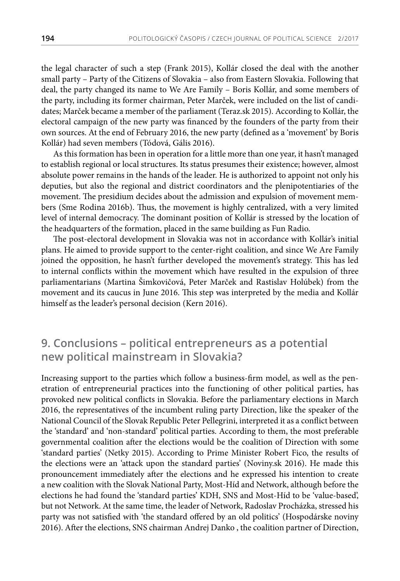the legal character of such a step (Frank 2015), Kollár closed the deal with the another small party – Party of the Citizens of Slovakia – also from Eastern Slovakia. Following that deal, the party changed its name to We Are Family – Boris Kollár, and some members of the party, including its former chairman, Peter Marček, were included on the list of candidates; Marček became a member of the parliament (Teraz.sk 2015). According to Kollár, the electoral campaign of the new party was financed by the founders of the party from their own sources. At the end of February 2016, the new party (defined as a 'movement' by Boris Kollár) had seven members (Tódová, Gális 2016).

As this formation has been in operation for a little more than one year, it hasn't managed to establish regional or local structures. Its status presumes their existence; however, almost absolute power remains in the hands of the leader. He is authorized to appoint not only his deputies, but also the regional and district coordinators and the plenipotentiaries of the movement. The presidium decides about the admission and expulsion of movement members (Sme Rodina 2016b). Thus, the movement is highly centralized, with a very limited level of internal democracy. The dominant position of Kollár is stressed by the location of the headquarters of the formation, placed in the same building as Fun Radio.

The post-electoral development in Slovakia was not in accordance with Kollár's initial plans. He aimed to provide support to the center-right coalition, and since We Are Family joined the opposition, he hasn't further developed the movement's strategy. This has led to internal conflicts within the movement which have resulted in the expulsion of three parliamentarians (Martina Šimkovičová, Peter Marček and Rastislav Holúbek) from the movement and its caucus in June 2016. This step was interpreted by the media and Kollár himself as the leader's personal decision (Kern 2016).

# **9. Conclusions – political entrepreneurs as a potential new political mainstream in Slovakia?**

Increasing support to the parties which follow a business-firm model, as well as the penetration of entrepreneurial practices into the functioning of other political parties, has provoked new political conflicts in Slovakia. Before the parliamentary elections in March 2016, the representatives of the incumbent ruling party Direction, like the speaker of the National Council of the Slovak Republic Peter Pellegrini, interpreted it as a conflict between the 'standard' and 'non-standard' political parties. According to them, the most preferable governmental coalition after the elections would be the coalition of Direction with some 'standard parties' (Netky 2015). According to Prime Minister Robert Fico, the results of the elections were an 'attack upon the standard parties' (Noviny.sk 2016). He made this pronouncement immediately after the elections and he expressed his intention to create a new coalition with the Slovak National Party, Most-Híd and Network, although before the elections he had found the 'standard parties' KDH, SNS and Most-Híd to be 'value-based', but not Network. At the same time, the leader of Network, Radoslav Procházka, stressed his party was not satisfied with 'the standard offered by an old politics' (Hospodárske noviny 2016). After the elections, SNS chairman Andrej Danko , the coalition partner of Direction,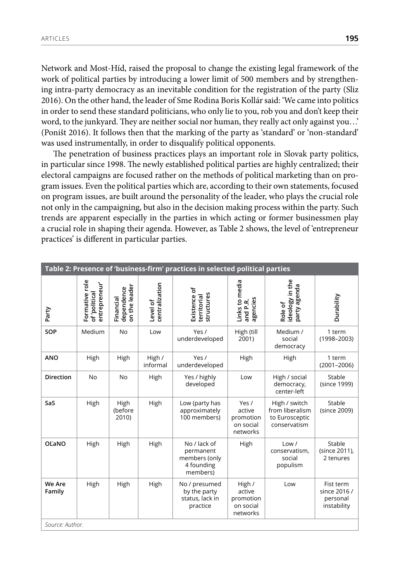Network and Most-Híd, raised the proposal to change the existing legal framework of the work of political parties by introducing a lower limit of 500 members and by strengthening intra-party democracy as an inevitable condition for the registration of the party (Sliz 2016). On the other hand, the leader of Sme Rodina Boris Kollár said: 'We came into politics in order to send these standard politicians, who only lie to you, rob you and don't keep their word, to the junkyard. They are neither social nor human, they really act only against you…' (Poništ 2016). It follows then that the marking of the party as 'standard' or 'non-standard' was used instrumentally, in order to disqualify political opponents.

The penetration of business practices plays an important role in Slovak party politics, in particular since 1998. The newly established political parties are highly centralized; their electoral campaigns are focused rather on the methods of political marketing than on program issues. Even the political parties which are, according to their own statements, focused on program issues, are built around the personality of the leader, who plays the crucial role not only in the campaigning, but also in the decision making process within the party. Such trends are apparent especially in the parties in which acting or former businessmen play a crucial role in shaping their agenda. However, as Table 2 shows, the level of 'entrepreneur practices' is different in particular parties.

| Table 2: Presence of 'business-firm' practices in selected political parties |                                                 |                                          |                            |                                                                      |                                                        |                                                                    |                                                      |  |  |  |
|------------------------------------------------------------------------------|-------------------------------------------------|------------------------------------------|----------------------------|----------------------------------------------------------------------|--------------------------------------------------------|--------------------------------------------------------------------|------------------------------------------------------|--|--|--|
| Party                                                                        | Formative role<br>entrepreneur<br>of 'political | on the leader<br>dependence<br>Financial | centralization<br>Level of | Existence of<br>structures<br>territorial                            | Links to media<br>agencies<br>and P.R.                 | ideology in the<br>buage Vinec<br>Role of                          | Durability                                           |  |  |  |
| SOP                                                                          | Medium                                          | <b>No</b>                                | Low                        | Yes /<br>underdeveloped                                              | High (till<br>2001)                                    | Medium /<br>social<br>democracy                                    | 1 term<br>$(1998 - 2003)$                            |  |  |  |
| <b>ANO</b>                                                                   | High                                            | High                                     | High /<br>informal         | Yes /<br>underdeveloped                                              | High                                                   | High                                                               | 1 term<br>$(2001 - 2006)$                            |  |  |  |
| <b>Direction</b>                                                             | <b>No</b>                                       | <b>No</b>                                | High                       | Yes / highly<br>developed                                            | Low                                                    | High / social<br>democracy,<br>center-left                         | Stable<br>(since 1999)                               |  |  |  |
| SaS                                                                          | High                                            | High<br>(before<br>2010)                 | High                       | Low (party has<br>approximately<br>100 members)                      | Yes /<br>active<br>promotion<br>on social<br>networks  | High / switch<br>from liberalism<br>to Eurosceptic<br>conservatism | Stable<br>(since 2009)                               |  |  |  |
| OĽaNO                                                                        | High                                            | High                                     | High                       | No / lack of<br>permanent<br>members (only<br>4 founding<br>members) | High                                                   | Low /<br>conservatism,<br>social<br>populism                       | Stable<br>(since 2011),<br>2 tenures                 |  |  |  |
| We Are<br>Family                                                             | High                                            | High                                     | High                       | No / presumed<br>by the party<br>status, lack in<br>practice         | High /<br>active<br>promotion<br>on social<br>networks | Low                                                                | Fist term<br>since 2016 /<br>personal<br>instability |  |  |  |
| Source: Author.                                                              |                                                 |                                          |                            |                                                                      |                                                        |                                                                    |                                                      |  |  |  |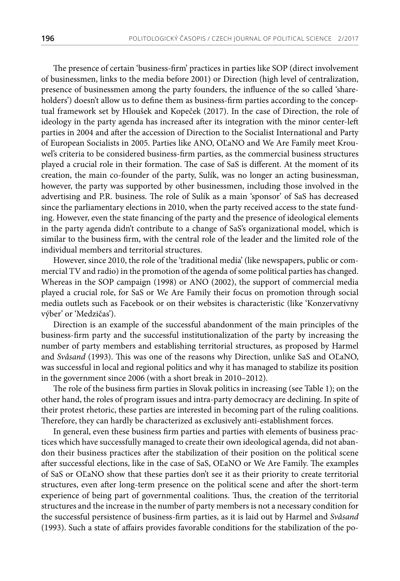The presence of certain 'business-firm' practices in parties like SOP (direct involvement of businessmen, links to the media before 2001) or Direction (high level of centralization, presence of businessmen among the party founders, the influence of the so called 'shareholders') doesn't allow us to define them as business-firm parties according to the conceptual framework set by Hloušek and Kopeček (2017). In the case of Direction, the role of ideology in the party agenda has increased after its integration with the minor center-left parties in 2004 and after the accession of Direction to the Socialist International and Party of European Socialists in 2005. Parties like ANO, OĽaNO and We Are Family meet Krouwel's criteria to be considered business-firm parties, as the commercial business structures played a crucial role in their formation. The case of SaS is different. At the moment of its creation, the main co-founder of the party, Sulík, was no longer an acting businessman, however, the party was supported by other businessmen, including those involved in the advertising and P.R. business. The role of Sulík as a main 'sponsor' of SaS has decreased since the parliamentary elections in 2010, when the party received access to the state funding. However, even the state financing of the party and the presence of ideological elements in the party agenda didn't contribute to a change of SaS's organizational model, which is similar to the business firm, with the central role of the leader and the limited role of the individual members and territorial structures.

However, since 2010, the role of the 'traditional media' (like newspapers, public or commercial TV and radio) in the promotion of the agenda of some political parties has changed. Whereas in the SOP campaign (1998) or ANO (2002), the support of commercial media played a crucial role, for SaS or We Are Family their focus on promotion through social media outlets such as Facebook or on their websites is characteristic (like 'Konzervatívny výber' or 'Medzičas').

Direction is an example of the successful abandonment of the main principles of the business-firm party and the successful institutionalization of the party by increasing the number of party members and establishing territorial structures, as proposed by Harmel and *Svåsand* (1993). This was one of the reasons why Direction, unlike SaS and OĽaNO, was successful in local and regional politics and why it has managed to stabilize its position in the government since 2006 (with a short break in 2010–2012).

The role of the business firm parties in Slovak politics in increasing (see Table 1); on the other hand, the roles of program issues and intra-party democracy are declining. In spite of their protest rhetoric, these parties are interested in becoming part of the ruling coalitions. Therefore, they can hardly be characterized as exclusively anti-establishment forces.

In general, even these business firm parties and parties with elements of business practices which have successfully managed to create their own ideological agenda, did not abandon their business practices after the stabilization of their position on the political scene after successful elections, like in the case of SaS, OĽaNO or We Are Family. The examples of SaS or OĽaNO show that these parties don't see it as their priority to create territorial structures, even after long-term presence on the political scene and after the short-term experience of being part of governmental coalitions. Thus, the creation of the territorial structures and the increase in the number of party members is not a necessary condition for the successful persistence of business-firm parties, as it is laid out by Harmel and *Svåsand* (1993). Such a state of affairs provides favorable conditions for the stabilization of the po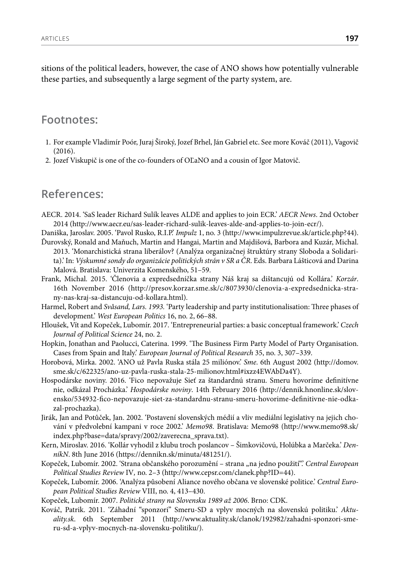sitions of the political leaders, however, the case of ANO shows how potentially vulnerable these parties, and subsequently a large segment of the party system, are.

#### **Footnotes:**

- 1. For example Vladimír Poór, Juraj Široký, Jozef Brhel, Ján Gabriel etc. See more Kováč (2011), Vagovič (2016).
- 2. Jozef Viskupič is one of the co-founders of OĽaNO and a cousin of Igor Matovič.

### **References:**

AECR. 2014. 'SaS leader Richard Sulík leaves ALDE and applies to join ECR.' *AECR News*. 2nd October 2014 (http://www.aecr.eu/sas-leader-richard-sulik-leaves-alde-and-applies-to-join-ecr/).

Daniška, Jaroslav. 2005. 'Pavol Rusko, R.I.P.' *Impulz* 1, no. 3 (http://www.impulzrevue.sk/article.php?44). Ďurovský, Ronald and Maňuch, Martin and Hangai, Martin and Majdišová, Barbora and Kuzár, Michal.

- 2013. 'Monarchistická strana liberálov? (Analýza organizačnej štruktúry strany Sloboda a Solidarita).' In: *Výskumné sondy do organizácie politických strán v SR a ČR*. Eds. Barbara Lášticová and Darina Malová. Bratislava: Univerzita Komenského, 51–59.
- Frank, Michal. 2015. 'Členovia a expredsedníčka strany Náš kraj sa dištancujú od Kollára.' *Korzár*. 16th November 2016 (http://presov.korzar.sme.sk/c/8073930/clenovia-a-expredsednicka-strany-nas-kraj-sa-distancuju-od-kollara.html).
- Harmel, Robert and *Svåsand, Lars. 1993.* 'Party leadership and party institutionalisation: Three phases of development.' *West European Politics* 16, no. 2, 66–88.
- Hloušek, Vít and Kopeček, Lubomír. 2017. 'Entrepreneurial parties: a basic conceptual framework.' *Czech Journal of Political Science* 24, no. 2.
- Hopkin, Jonathan and Paolucci, Caterina. 1999. 'The Business Firm Party Model of Party Organisation. Cases from Spain and Italy.' *European Journal of Political Research* 35, no. 3, 307–339.
- Horobová, Mirka. 2002. 'ANO už Pavla Ruska stála 25 miliónov.' *Sme*. 6th August 2002 (http://domov. sme.sk/c/622325/ano-uz-pavla-ruska-stala-25-milionov.html#ixzz4EWAbDa4Y).
- Hospodárske noviny. 2016. 'Fico nepovažuje Sieť za štandardnú stranu. Smeru hovoríme definitívne nie, odkázal Procházka.' *Hospodárske noviny*. 14th February 2016 (http://dennik.hnonline.sk/slovensko/534932-fico-nepovazuje-siet-za-standardnu-stranu-smeru-hovorime-definitivne-nie-odkazal-prochazka).
- Jirák, Jan and Potůček, Jan. 2002. 'Postavení slovenských médií a vliv mediální legislativy na jejich chování v předvolební kampani v roce 2002.' *Memo98*. Bratislava: Memo98 (http://www.memo98.sk/ index.php?base=data/spravy/2002/zaverecna\_sprava.txt).
- Kern, Miroslav. 2016. 'Kollár vyhodil z klubu troch poslancov Šimkovičovú, Holúbka a Marčeka.' *DenníkN*. 8th June 2016 (https://dennikn.sk/minuta/481251/).
- Kopeček, Lubomír. 2002. 'Strana občanského porozumění strana "na jedno použití".' *Central European Political Studies Review* IV*,* no. 2–3 (http://www.cepsr.com/clanek.php?ID=44).
- Kopeček, Lubomír. 2006. 'Analýza působení Aliance nového občana ve slovenské politice.' *Central European Political Studies Review* VIII, no. 4, 413–430.

Kopeček, Lubomír. 2007. *Politické strany na Slovensku 1989 až 2006*. Brno: CDK.

Kováč, Patrik. 2011. 'Záhadní "sponzori" Smeru-SD a vplyv mocných na slovenskú politiku.' *Aktuality.sk*. 6th September 2011 (http://www.aktuality.sk/clanok/192982/zahadni-sponzori-smeru-sd-a-vplyv-mocnych-na-slovensku-politiku/).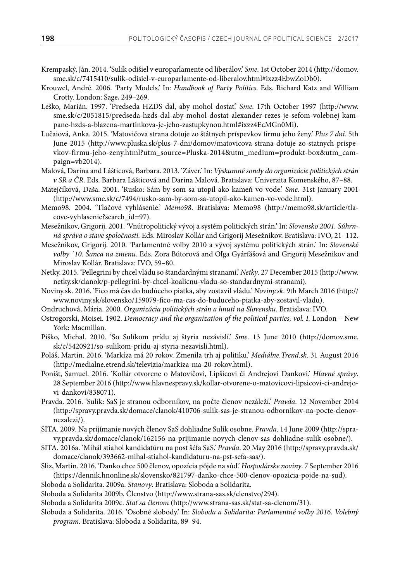- Krempaský, Ján. 2014. 'Sulík odišiel v europarlamente od liberálov.' *Sme*. 1st October 2014 (http://domov. sme.sk/c/7415410/sulik-odisiel-v-europarlamente-od-liberalov.html#ixzz4EbwZoDb0).
- Krouwel, André. 2006. 'Party Models.' In: *Handbook of Party Politics*. Eds. Richard Katz and William Crotty. London: Sage, 249–269.
- Leško, Marián. 1997. 'Predseda HZDS dal, aby mohol dostať.' *Sme*. 17th October 1997 (http://www. sme.sk/c/2051815/predseda-hzds-dal-aby-mohol-dostat-alexander-rezes-je-sefom-volebnej-kampane-hzds-a-blazena-martinkova-je-jeho-zastupkynou.html#ixzz4EcMGn0Mi).
- Lučaiová, Anka. 2015. 'Matovičova strana dotuje zo štátnych príspevkov firmu jeho ženy.' *Plus 7 dní*. 5th June 2015 (http://www.pluska.sk/plus-7-dni/domov/matovicova-strana-dotuje-zo-statnych-prispevkov-firmu-jeho-zeny.html?utm\_source=Pluska-2014&utm\_medium=produkt-box&utm\_campaign=vb2014).
- Malová, Darina and Lášticová, Barbara. 2013. 'Záver.' In: *Výskumné sondy do organizácie politických strán v SR a ČR*. Eds. Barbara Lášticová and Darina Malová. Bratislava: Univerzita Komenského, 87–88.
- Matejčíková, Daša. 2001. 'Rusko: Sám by som sa utopil ako kameň vo vode.' *Sme*. 31st January 2001 (http://www.sme.sk/c/7494/rusko-sam-by-som-sa-utopil-ako-kamen-vo-vode.html).
- Memo98. 2004. 'Tlačové vyhlásenie.' *Memo98*. Bratislava: Memo98 (http://memo98.sk/article/tlacove-vyhlasenie?search\_id=97).
- Mesežnikov, Grigorij. 2001. 'Vnútropolitický vývoj a systém politických strán.' In: *Slovensko 2001. Súhrnná správa o stave spoločnosti.* Eds. Miroslav Kollár and Grigorij Mesežnikov. Bratislava: IVO, 21–112.
- Mesežnikov, Grigorij. 2010. 'Parlamentné voľby 2010 a vývoj systému politických strán.' In: *Slovenské voľby ´10. Šanca na zmenu.* Eds. Zora Bútorová and Oľga Gyárfášová and Grigorij Mesežnikov and Miroslav Kollár. Bratislava: IVO, 59–80.
- Netky. 2015. 'Pellegrini by chcel vládu so štandardnými stranami.' *Netky*. 27 December 2015 (http://www. netky.sk/clanok/p-pellegrini-by-chcel-koalicnu-vladu-so-standardnymi-stranami).
- Noviny.sk. 2016. 'Fico má čas do budúceho piatka, aby zostavil vládu.' *Noviny.sk*. 9th March 2016 (http:// www.noviny.sk/slovensko/159079-fico-ma-cas-do-buduceho-piatka-aby-zostavil-vladu).
- Ondruchová, Mária. 2000. *Organizácia politických strán a hnutí na Slovensku.* Bratislava: IVO.
- Ostrogorski, Moisei. 1902. *Democracy and the organization of the political parties, vol. I.* London New York: Macmillan.
- Piško, Michal. 2010. 'So Sulíkom prídu aj štyria nezávislí.' *Sme*. 13 June 2010 (http://domov.sme. sk/c/5420921/so-sulikom-pridu-aj-styria-nezavisli.html).
- Poláš, Martin. 2016. 'Markíza má 20 rokov. Zmenila trh aj politiku.' *Mediálne.Trend.sk*. 31 August 2016 (http://medialne.etrend.sk/televizia/markiza-ma-20-rokov.html).
- Poništ, Samuel. 2016. 'Kollár otvorene o Matovičovi, Lipšicovi či Andrejovi Dankovi.' *Hlavné správy*. 28 September 2016 (http://www.hlavnespravy.sk/kollar-otvorene-o-matovicovi-lipsicovi-ci-andrejovi-dankovi/838071).
- Pravda. 2016. 'Sulík: SaS je stranou odborníkov, na počte členov nezáleží.' *Pravda*. 12 November 2014 (http://spravy.pravda.sk/domace/clanok/410706-sulik-sas-je-stranou-odbornikov-na-pocte-clenovnezalezi/).
- SITA. 2009. Na prijímanie nových členov SaS dohliadne Sulík osobne. *Pravda*. 14 June 2009 (http://spravy.pravda.sk/domace/clanok/162156-na-prijimanie-novych-clenov-sas-dohliadne-sulik-osobne/).
- SITA. 2016a. 'Mihál stiahol kandidatúru na post šéfa SaS.' *Pravda*. 20 May 2016 (http://spravy.pravda.sk/ domace/clanok/393662-mihal-stiahol-kandidaturu-na-pst-sefa-sas/).
- Sliz, Martin. 2016. 'Danko chce 500 členov, opozícia pôjde na súd.' *Hospodárske noviny*. 7 September 2016 (https://dennik.hnonline.sk/slovensko/821797-danko-chce-500-clenov-opozicia-pojde-na-sud).
- Sloboda a Solidarita. 2009a. *Stanovy*. Bratislava: Sloboda a Solidarita.
- Sloboda a Solidarita 2009b. Členstvo (http://www.strana-sas.sk/clenstvo/294).
- Sloboda a Solidarita 2009c. *Stať sa členom* (http://www.strana-sas.sk/stat-sa-clenom/31).
- Sloboda a Solidarita. 2016. 'Osobné slobody.' In: *Sloboda a Solidarita: Parlamentné voľby 2016. Volebný program.* Bratislava: Sloboda a Solidarita, 89–94.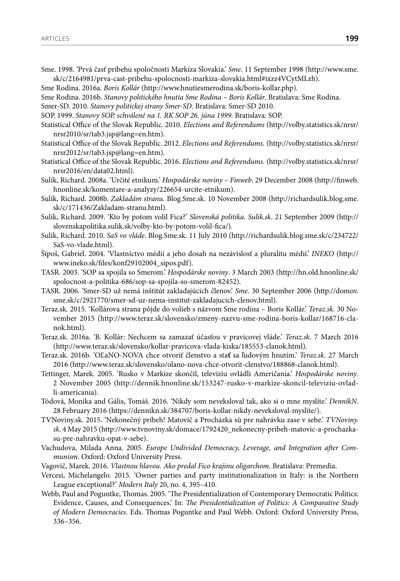Sme. 1998. 'Prvá časť príbehu spoločnosti Markíza Slovakia.' *Sme*. 11 September 1998 (http://www.sme. sk/c/2164981/prva-cast-pribehu-spolocnosti-markiza-slovakia.html#ixzz4VCytMLzh).

Sme Rodina. 2016a. *Boris Kollár* (http://www.hnutiesmerodina.sk/boris-kollar.php).

Sme Rodina. 2016b. *Stanovy politického hnutia Sme Rodina – Boris Kollár*. Bratislava: Sme Rodina.

Smer-SD. 2010. *Stanovy politickej strany Smer-SD*. Bratislava: Smer-SD 2010.

SOP. 1999. *Stanovy SOP, schválené na 1. RK SOP 26. júna 1999.* Bratislava: SOP.

- Statistical Office of the Slovak Republic. 2010. *Elections and Referendums* (http://volby.statistics.sk/nrsr/ nrsr2010/sr/tab3.jsp@lang=en.htm).
- Statistical Office of the Slovak Republic. 2012. *Elections and Referendums.* (http://volby.statistics.sk/nrsr/ nrsr2012/sr/tab3.jsp@lang=en.htm).
- Statistical Office of the Slovak Republic. 2016. *Elections and Referendums.* (http://volby.statistics.sk/nrsr/ nrsr2016/en/data02.html).
- Sulík, Richard. 2008a. 'Určité etnikum.' *Hospodárske noviny Finweb*. 29 December 2008 (http://finweb. hnonline.sk/komentare-a-analyzy/226654-urcite-etnikum).
- Sulík, Richard. 2008b. *Zakladám stranu*. Blog.Sme.sk. 10 November 2008 (http://richardsulik.blog.sme. sk/c/171436/Zakladam-stranu.html).
- Sulík, Richard. 2009. 'Kto by potom volil Fica?' *Slovenská politika. Sulik.sk*. 21 September 2009 (http:// slovenskapolitika.sulik.sk/volby-kto-by-potom-volil-fica/).
- Sulík, Richard. 2010. *SaS vo vláde*. Blog.Sme.sk. 11 July 2010 (http://richardsulik.blog.sme.sk/c/234722/ SaS-vo-vlade.html).
- Šípoš, Gabriel. 2004. 'Vlastníctvo médií a jeho dosah na nezávislosť a pluralitu médií.' *INEKO* (http:// www.ineko.sk/files/konf29102004\_sipos.pdf).
- TASR. 2003. 'SOP sa spojila so Smerom.' *Hospodárske noviny*. 3 March 2003 (http://hn.old.hnonline.sk/ spolocnost-a-politika-686/sop-sa-spojila-so-smerom-82452).
- TASR. 2006. 'Smer-SD už nemá inštitút zakladajúcich členov.' *Sme*. 30 September 2006 (http://domov. sme.sk/c/2921770/smer-sd-uz-nema-institut-zakladajucich-clenov.html).
- Teraz.sk. 2015. 'Kollárova strana pôjde do volieb s názvom Sme rodina Boris Kollár.' *Teraz.sk*. 30 November 2015 (http://www.teraz.sk/slovensko/zmeny-nazvu-sme-rodina-boris-kollar/168716-clanok.html).
- Teraz.sk. 2016a. 'B. Kollár: Nechcem sa zamazať účasťou v pravicovej vláde.' *Teraz.sk*. 7 March 2016 (http://www.teraz.sk/slovensko/kollar-pravicova-vlada-kiska/185553-clanok.html).
- Teraz.sk. 2016b. 'OĽaNO-NOVA chce otvoriť členstvo a sta**ť** sa ľudovým hnutím.' *Teraz.sk*. 27 March 2016 (http://www.teraz.sk/slovensko/olano-nova-chce-otvorit-clenstvo/188868-clanok.html).
- Tettinger, Marek. 2005. 'Rusko v Markíze skončil, televíziu ovládli Američania.' *Hospodárske noviny*. 2 November 2005 (http://dennik.hnonline.sk/153247-rusko-v-markize-skoncil-televiziu-ovladli-americania).
- Tódová, Monika and Gális, Tomáš. 2016. 'Nikdy som neveksloval tak, ako si o mne myslíte.' *DenníkN*. 28 February 2016 (https://dennikn.sk/384707/boris-kollar-nikdy-neveksloval-myslite/).
- TVNoviny.sk. 2015. 'Nekonečný príbeh! Matovič a Procházka sú pre nahrávku zase v sebe.' *TVNoviny. sk*. 4 May 2015 (http://www.tvnoviny.sk/domace/1792420\_nekonecny-pribeh-matovic-a-prochazkasu-pre-nahravku-opat-v-sebe).
- Vachudova, Milada Anna. 2005. *Europe Undivided Democracy, Leverage, and Integration after Communism*. Oxford: Oxford University Press.
- Vagovič, Marek. 2016. *Vlastnou hlavou. Ako predal Fico krajinu oligarchom*. Bratislava: Premedia.
- Vercesi, Michelangelo. 2015. 'Owner parties and party institutionalization in Italy: is the Northern League exceptional?' *Modern Italy* 20, no. 4, 395–410.
- Webb, Paul and Poguntke, Thomas. 2005. 'The Presidentialization of Contemporary Democratic Politics: Evidence, Causes, and Consequences.' In: *The Presidentialization of Politics: A Comparative Study of Modern Democracies*. Eds. Thomas Poguntke and Paul Webb. Oxford: Oxford University Press, 336–356.